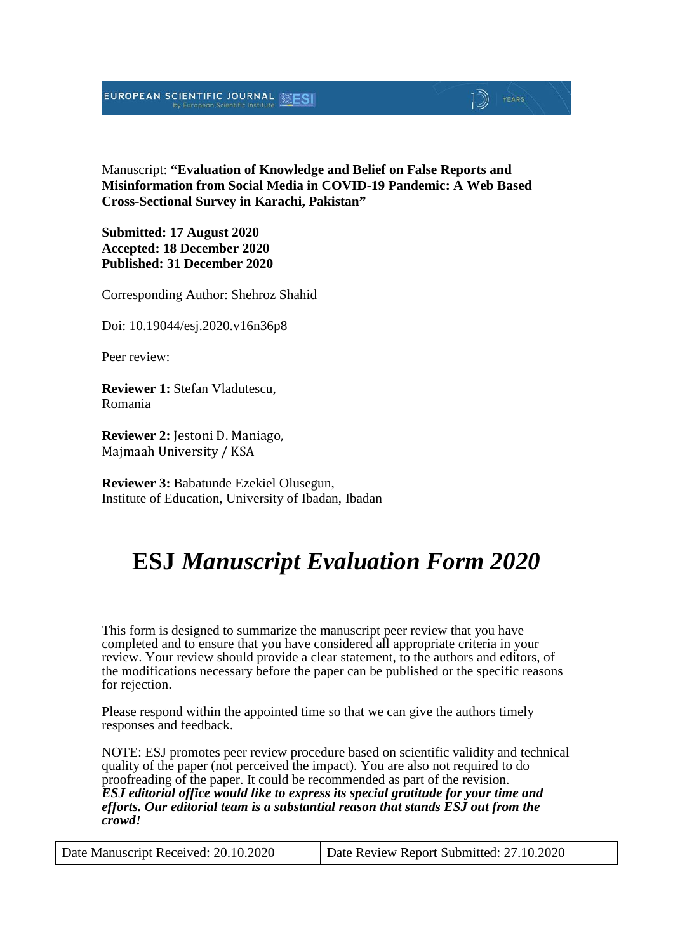### EUROPEAN SCIENTIFIC JOURNAL

#### Manuscript: **"Evaluation of Knowledge and Belief on False Reports and Misinformation from Social Media in COVID-19 Pandemic: A Web Based Cross-Sectional Survey in Karachi, Pakistan"**

D) YEARS

**Submitted: 17 August 2020 Accepted: 18 December 2020 Published: 31 December 2020**

Corresponding Author: Shehroz Shahid

Doi: 10.19044/esj.2020.v16n36p8

Peer review:

**Reviewer 1:** Stefan Vladutescu, Romania

**Reviewer 2:** Jestoni D. Maniago, Majmaah University / KSA

**Reviewer 3:** Babatunde Ezekiel Olusegun, Institute of Education, University of Ibadan, Ibadan

## **ESJ** *Manuscript Evaluation Form 2020*

This form is designed to summarize the manuscript peer review that you have completed and to ensure that you have considered all appropriate criteria in your review. Your review should provide a clear statement, to the authors and editors, of the modifications necessary before the paper can be published or the specific reasons for rejection.

Please respond within the appointed time so that we can give the authors timely responses and feedback.

NOTE: ESJ promotes peer review procedure based on scientific validity and technical quality of the paper (not perceived the impact). You are also not required to do proofreading of the paper. It could be recommended as part of the revision. *ESJ editorial office would like to express its special gratitude for your time and efforts. Our editorial team is a substantial reason that stands ESJ out from the crowd!*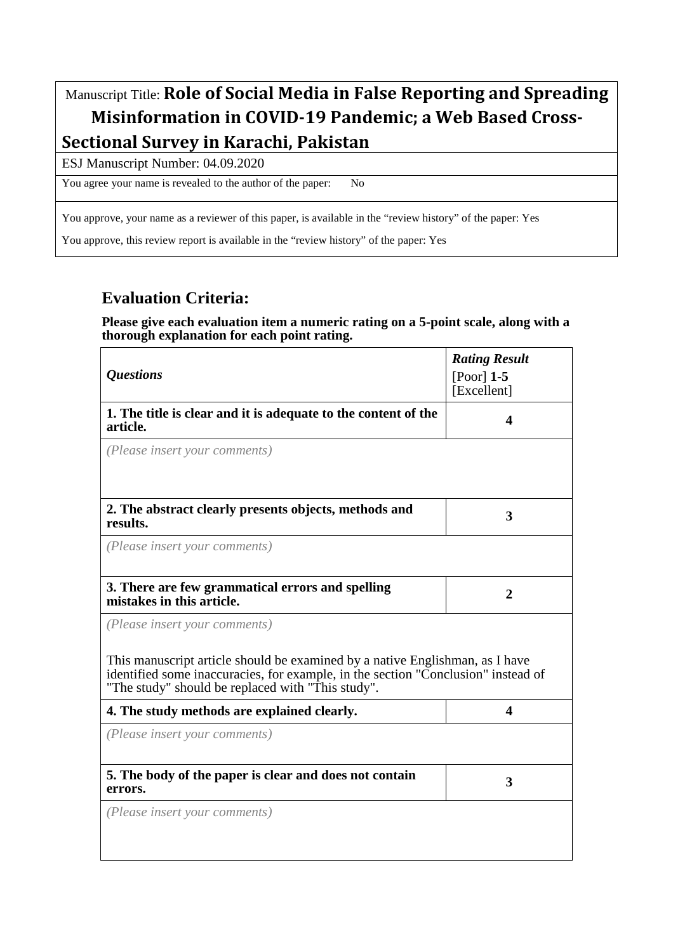## Manuscript Title: **Role of Social Media in False Reporting and Spreading Misinformation in COVID-19 Pandemic; a Web Based Cross-Sectional Survey in Karachi, Pakistan**

ESJ Manuscript Number: 04.09.2020

You agree your name is revealed to the author of the paper: No

You approve, your name as a reviewer of this paper, is available in the "review history" of the paper: Yes

You approve, this review report is available in the "review history" of the paper: Yes

## **Evaluation Criteria:**

**Please give each evaluation item a numeric rating on a 5-point scale, along with a thorough explanation for each point rating.**

|                                                                                                                                                                                                                        | <b>Rating Result</b> |
|------------------------------------------------------------------------------------------------------------------------------------------------------------------------------------------------------------------------|----------------------|
| <i><b>Questions</b></i>                                                                                                                                                                                                | $[Poor]$ 1-5         |
|                                                                                                                                                                                                                        | [Excellent]          |
| 1. The title is clear and it is adequate to the content of the<br>article.                                                                                                                                             | 4                    |
| (Please insert your comments)                                                                                                                                                                                          |                      |
|                                                                                                                                                                                                                        |                      |
| 2. The abstract clearly presents objects, methods and                                                                                                                                                                  | 3                    |
| results.                                                                                                                                                                                                               |                      |
| (Please insert your comments)                                                                                                                                                                                          |                      |
| 3. There are few grammatical errors and spelling                                                                                                                                                                       |                      |
| mistakes in this article.                                                                                                                                                                                              | $\mathbf{2}$         |
| (Please insert your comments)                                                                                                                                                                                          |                      |
|                                                                                                                                                                                                                        |                      |
| This manuscript article should be examined by a native Englishman, as I have<br>identified some inaccuracies, for example, in the section "Conclusion" instead of<br>"The study" should be replaced with "This study". |                      |
| 4. The study methods are explained clearly.                                                                                                                                                                            | 4                    |
| (Please insert your comments)                                                                                                                                                                                          |                      |
|                                                                                                                                                                                                                        |                      |
| 5. The body of the paper is clear and does not contain<br>errors.                                                                                                                                                      | 3                    |
| (Please insert your comments)                                                                                                                                                                                          |                      |
|                                                                                                                                                                                                                        |                      |
|                                                                                                                                                                                                                        |                      |
|                                                                                                                                                                                                                        |                      |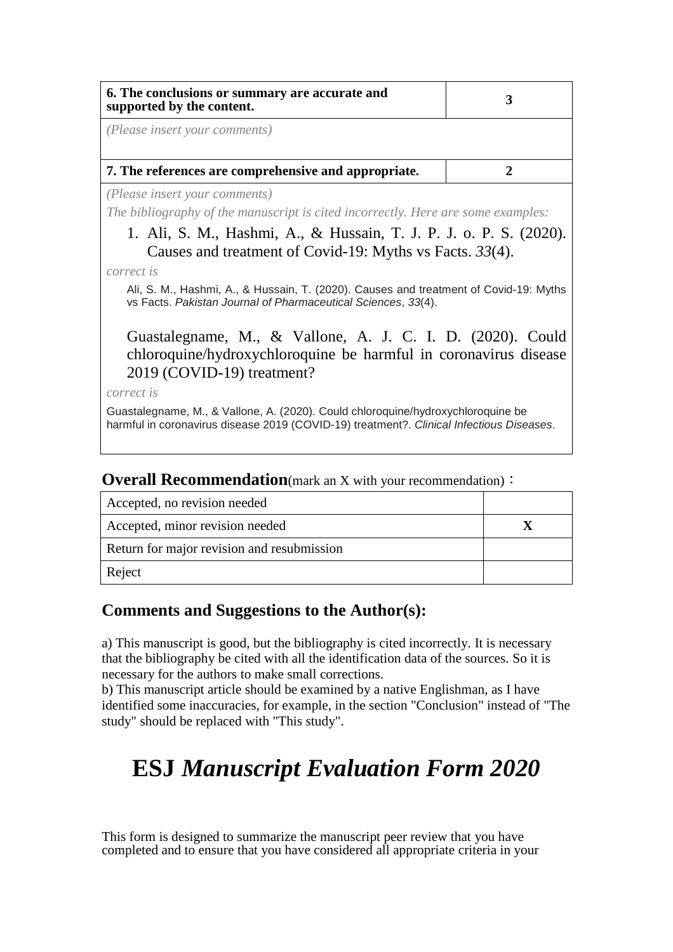| 6. The conclusions or summary are accurate and<br>supported by the content.                                                    | 3 |
|--------------------------------------------------------------------------------------------------------------------------------|---|
| (Please insert your comments)                                                                                                  |   |
| 7. The references are comprehensive and appropriate.                                                                           |   |
| ( <i>Please insert your comments</i> )<br>The bibliography of the manuscript is cited incorrectly. Here are some examples:     |   |
| 1. Ali, S. M., Hashmi, A., & Hussain, T. J. P. J. o. P. S. (2020).<br>Causes and treatment of Covid-19: Myths vs Facts. 33(4). |   |
| correct is                                                                                                                     |   |

Ali, S. M., Hashmi, A., & Hussain, T. (2020). Causes and treatment of Covid-19: Myths vs Facts. *Pakistan Journal of Pharmaceutical Sciences*, *33*(4).

Guastalegname, M., & Vallone, A. J. C. I. D. (2020). Could chloroquine/hydroxychloroquine be harmful in coronavirus disease 2019 (COVID-19) treatment?

*correct is*

Guastalegname, M., & Vallone, A. (2020). Could chloroquine/hydroxychloroquine be harmful in coronavirus disease 2019 (COVID-19) treatment?. *Clinical Infectious Diseases*.

| Accepted, no revision needed               |  |
|--------------------------------------------|--|
| Accepted, minor revision needed            |  |
| Return for major revision and resubmission |  |
| Reject                                     |  |

**Overall Recommendation**(mark an X with your recommendation):

### **Comments and Suggestions to the Author(s):**

a) This manuscript is good, but the bibliography is cited incorrectly. It is necessary that the bibliography be cited with all the identification data of the sources. So it is necessary for the authors to make small corrections.

b) This manuscript article should be examined by a native Englishman, as I have identified some inaccuracies, for example, in the section "Conclusion" instead of "The study" should be replaced with "This study".

# **ESJ** *Manuscript Evaluation Form 2020*

This form is designed to summarize the manuscript peer review that you have completed and to ensure that you have considered all appropriate criteria in your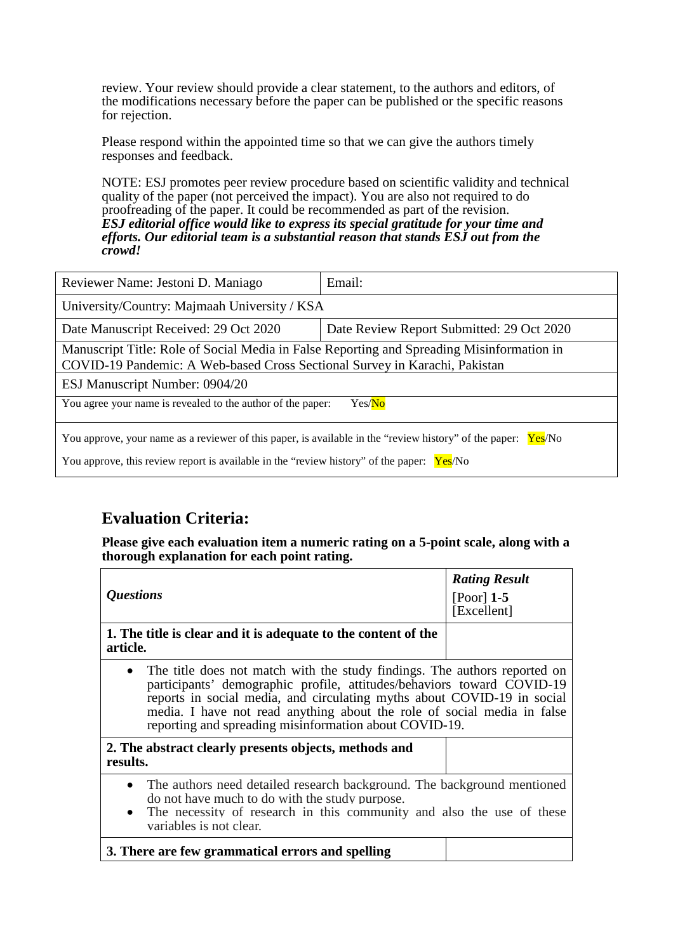review. Your review should provide a clear statement, to the authors and editors, of the modifications necessary before the paper can be published or the specific reasons for rejection.

Please respond within the appointed time so that we can give the authors timely responses and feedback.

NOTE: ESJ promotes peer review procedure based on scientific validity and technical quality of the paper (not perceived the impact). You are also not required to do proofreading of the paper. It could be recommended as part of the revision. *ESJ editorial office would like to express its special gratitude for your time and efforts. Our editorial team is a substantial reason that stands ESJ out from the crowd!* 

| Reviewer Name: Jestoni D. Maniago                                                                                                                                                                             | Email:                                    |  |
|---------------------------------------------------------------------------------------------------------------------------------------------------------------------------------------------------------------|-------------------------------------------|--|
| University/Country: Majmaah University / KSA                                                                                                                                                                  |                                           |  |
| Date Manuscript Received: 29 Oct 2020                                                                                                                                                                         | Date Review Report Submitted: 29 Oct 2020 |  |
| Manuscript Title: Role of Social Media in False Reporting and Spreading Misinformation in<br>COVID-19 Pandemic: A Web-based Cross Sectional Survey in Karachi, Pakistan                                       |                                           |  |
| ESJ Manuscript Number: 0904/20                                                                                                                                                                                |                                           |  |
| You agree your name is revealed to the author of the paper:<br>Yes/No                                                                                                                                         |                                           |  |
| You approve, your name as a reviewer of this paper, is available in the "review history" of the paper:<br>Yes/No<br>You approve, this review report is available in the "review history" of the paper: Yes/No |                                           |  |

## **Evaluation Criteria:**

**Please give each evaluation item a numeric rating on a 5-point scale, along with a thorough explanation for each point rating.**

|                                                                                                                                                                                                                                                                                                                                                                       | <b>Rating Result</b>        |
|-----------------------------------------------------------------------------------------------------------------------------------------------------------------------------------------------------------------------------------------------------------------------------------------------------------------------------------------------------------------------|-----------------------------|
| <i><b>Questions</b></i>                                                                                                                                                                                                                                                                                                                                               | $[Poor]$ 1-5<br>[Excellent] |
| 1. The title is clear and it is adequate to the content of the<br>article.                                                                                                                                                                                                                                                                                            |                             |
| • The title does not match with the study findings. The authors reported on<br>participants' demographic profile, attitudes/behaviors toward COVID-19<br>reports in social media, and circulating myths about COVID-19 in social<br>media. I have not read anything about the role of social media in false<br>reporting and spreading misinformation about COVID-19. |                             |
| 2. The abstract clearly presents objects, methods and<br>results.                                                                                                                                                                                                                                                                                                     |                             |
| • The authors need detailed research background. The background mentioned<br>do not have much to do with the study purpose.<br>• The necessity of research in this community and also the use of these<br>variables is not clear.                                                                                                                                     |                             |
| 3. There are few grammatical errors and spelling                                                                                                                                                                                                                                                                                                                      |                             |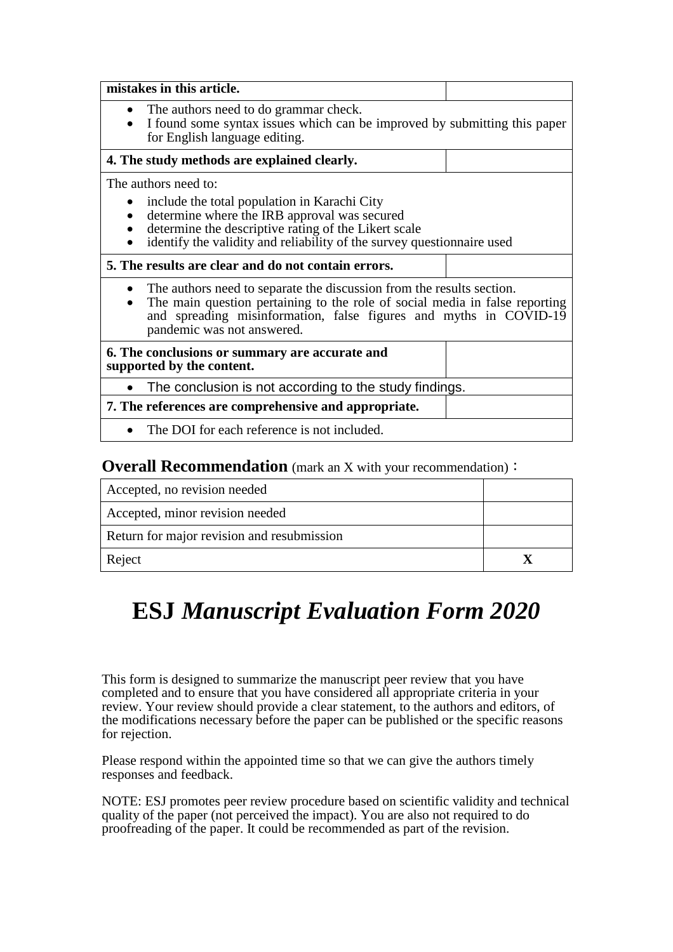| mistakes in this article.                                                                                                                                                                                                                               |  |
|---------------------------------------------------------------------------------------------------------------------------------------------------------------------------------------------------------------------------------------------------------|--|
| The authors need to do grammar check.<br>I found some syntax issues which can be improved by submitting this paper<br>for English language editing.                                                                                                     |  |
| 4. The study methods are explained clearly.                                                                                                                                                                                                             |  |
| The authors need to:                                                                                                                                                                                                                                    |  |
| include the total population in Karachi City<br>determine where the IRB approval was secured<br>determine the descriptive rating of the Likert scale<br>identify the validity and reliability of the survey questionnaire used                          |  |
| 5. The results are clear and do not contain errors.                                                                                                                                                                                                     |  |
| The authors need to separate the discussion from the results section.<br>The main question pertaining to the role of social media in false reporting<br>and spreading misinformation, false figures and myths in COVID-19<br>pandemic was not answered. |  |
| 6. The conclusions or summary are accurate and<br>supported by the content.                                                                                                                                                                             |  |
| The conclusion is not according to the study findings.                                                                                                                                                                                                  |  |
| 7. The references are comprehensive and appropriate.                                                                                                                                                                                                    |  |
| The DOI for each reference is not included.                                                                                                                                                                                                             |  |

#### **Overall Recommendation** (mark an X with your recommendation):

| Accepted, no revision needed               |  |
|--------------------------------------------|--|
| Accepted, minor revision needed            |  |
| Return for major revision and resubmission |  |
| Reject                                     |  |

# **ESJ** *Manuscript Evaluation Form 2020*

This form is designed to summarize the manuscript peer review that you have completed and to ensure that you have considered all appropriate criteria in your review. Your review should provide a clear statement, to the authors and editors, of the modifications necessary before the paper can be published or the specific reasons for rejection.

Please respond within the appointed time so that we can give the authors timely responses and feedback.

NOTE: ESJ promotes peer review procedure based on scientific validity and technical quality of the paper (not perceived the impact). You are also not required to do proofreading of the paper. It could be recommended as part of the revision.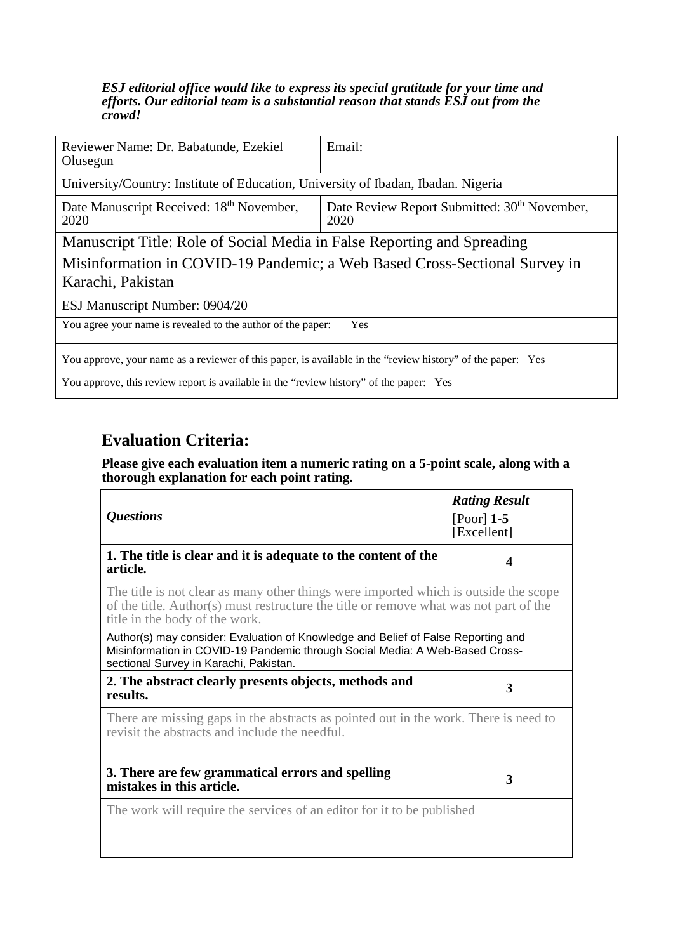#### *ESJ editorial office would like to express its special gratitude for your time and efforts. Our editorial team is a substantial reason that stands ESJ out from the crowd!*

| Reviewer Name: Dr. Babatunde, Ezekiel<br>Olusegun                                                          | Email:                                                           |  |
|------------------------------------------------------------------------------------------------------------|------------------------------------------------------------------|--|
| University/Country: Institute of Education, University of Ibadan, Ibadan. Nigeria                          |                                                                  |  |
| Date Manuscript Received: 18 <sup>th</sup> November,<br>2020                                               | Date Review Report Submitted: 30 <sup>th</sup> November,<br>2020 |  |
| Manuscript Title: Role of Social Media in False Reporting and Spreading                                    |                                                                  |  |
| Misinformation in COVID-19 Pandemic; a Web Based Cross-Sectional Survey in<br>Karachi, Pakistan            |                                                                  |  |
| ESJ Manuscript Number: 0904/20                                                                             |                                                                  |  |
| You agree your name is revealed to the author of the paper:<br>Yes                                         |                                                                  |  |
| You approve, your name as a reviewer of this paper, is available in the "review history" of the paper: Yes |                                                                  |  |

You approve, this review report is available in the "review history" of the paper: Yes

## **Evaluation Criteria:**

## **Please give each evaluation item a numeric rating on a 5-point scale, along with a thorough explanation for each point rating.**

 $\overline{\phantom{0}}$ 

| <b>Questions</b>                                                                                                                                                                                                | <b>Rating Result</b><br>$[Poor]$ 1-5<br>[Excellent] |
|-----------------------------------------------------------------------------------------------------------------------------------------------------------------------------------------------------------------|-----------------------------------------------------|
| 1. The title is clear and it is adequate to the content of the<br>article.                                                                                                                                      |                                                     |
| The title is not clear as many other things were imported which is outside the scope<br>of the title. Author(s) must restructure the title or remove what was not part of the<br>title in the body of the work. |                                                     |
| Author(s) may consider: Evaluation of Knowledge and Belief of False Reporting and<br>Misinformation in COVID-19 Pandemic through Social Media: A Web-Based Cross-<br>sectional Survey in Karachi, Pakistan.     |                                                     |
| 2. The abstract clearly presents objects, methods and                                                                                                                                                           |                                                     |
| results.                                                                                                                                                                                                        | 3                                                   |
| There are missing gaps in the abstracts as pointed out in the work. There is need to<br>revisit the abstracts and include the needful.                                                                          |                                                     |
| 3. There are few grammatical errors and spelling<br>mistakes in this article.                                                                                                                                   | 3                                                   |